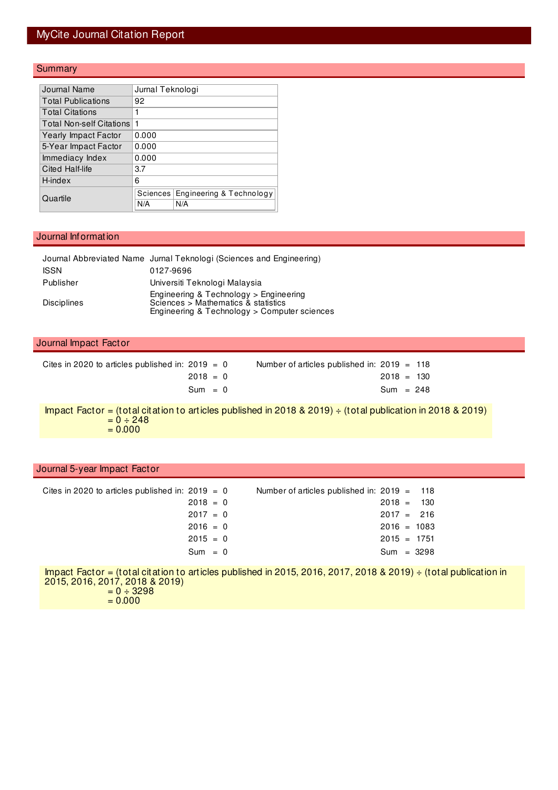# MyCite Journal Citation Report

## **Summary**

| Journal Name                    | Jurnal Teknologi |                          |
|---------------------------------|------------------|--------------------------|
| <b>Total Publications</b>       | 92               |                          |
| <b>Total Citations</b>          | 1                |                          |
| <b>Total Non-self Citations</b> | 1                |                          |
| Yearly Impact Factor            | 0.000            |                          |
| 5-Year Impact Factor            | 0.000            |                          |
| Immediacy Index                 | 0.000            |                          |
| Cited Half-life                 | 3.7              |                          |
| H-index                         | 6                |                          |
| Quartile                        | Sciences         | Engineering & Technology |
|                                 | N/A              | N/A                      |

#### Journal Information

|                    | Journal Abbreviated Name Jurnal Teknologi (Sciences and Engineering)                                                          |
|--------------------|-------------------------------------------------------------------------------------------------------------------------------|
| <b>ISSN</b>        | 0127-9696                                                                                                                     |
| Publisher          | Universiti Teknologi Malaysia                                                                                                 |
| <b>Disciplines</b> | Engineering & Technology > Engineering<br>Sciences > Mathematics & statistics<br>Engineering & Technology > Computer sciences |

#### Journal Impact Factor

| Cites in 2020 to articles published in: $2019 = 0$ |            | Number of articles published in: $2019 = 118$ |              |  |
|----------------------------------------------------|------------|-----------------------------------------------|--------------|--|
|                                                    | $2018 = 0$ |                                               | $2018 = 130$ |  |
|                                                    | $Sum = 0$  |                                               | Sum = $248$  |  |

Impact Factor = (total citation to articles published in 2018 & 2019) ÷ (total publication in 2018 & 2019)  $= 0 \div 248$  $= 0.000$ 

### Journal 5-year Impact Factor

| Cites in 2020 to articles published in: $2019 = 0$ |            | Number of articles published in: $2019 = 118$ |               |     |  |
|----------------------------------------------------|------------|-----------------------------------------------|---------------|-----|--|
|                                                    | $2018 = 0$ |                                               | $2018 =$      | 130 |  |
|                                                    | $2017 = 0$ |                                               | $2017 = 216$  |     |  |
|                                                    | $2016 = 0$ |                                               | $2016 = 1083$ |     |  |
|                                                    | $2015 = 0$ |                                               | $2015 = 1751$ |     |  |
|                                                    | $Sum = 0$  |                                               | $Sum = 3298$  |     |  |
|                                                    |            |                                               |               |     |  |

Impact Factor = (total citation to articles published in 2015, 2016, 2017, 2018 & 2019) ÷ (total publication in 2015, 2016, 2017, 2018 & 2019)  $= 0 \div 3298$  $= 0.000$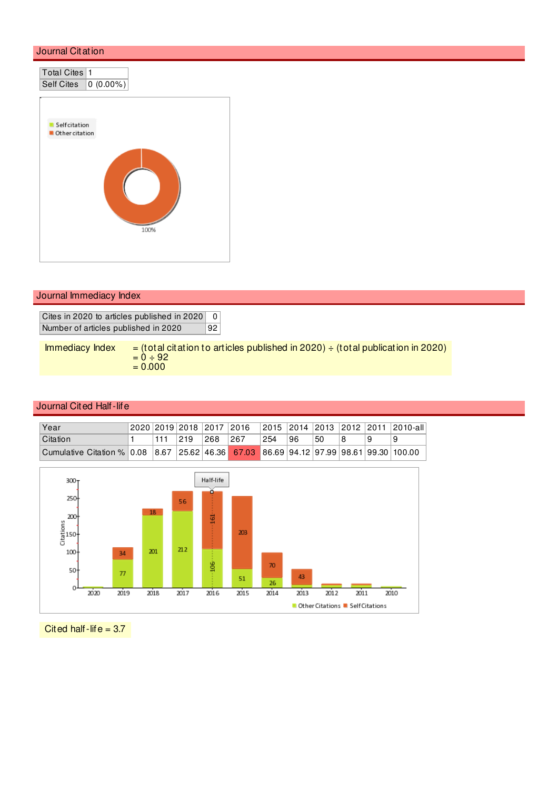

Journal Immediacy Index

Cites in 2020 to articles published in 2020 0 Number of articles published in 2020 92

| Immediacy Index | $=$ (total citation to articles published in 2020) $\div$ (total publication in 2020) |
|-----------------|---------------------------------------------------------------------------------------|
|                 | $= 0 \div 92$                                                                         |
|                 | $= 0.000$                                                                             |

## Journal Cited Half-life

| Year                                                                                   |     |               |     | 2020   2019   2018   2017   2016 |     |    |    |  | -  2015  2014  2013  2012  2011  2010-all |
|----------------------------------------------------------------------------------------|-----|---------------|-----|----------------------------------|-----|----|----|--|-------------------------------------------|
| Citation                                                                               | 111 | $ 219\rangle$ | 268 | 267                              | 254 | 96 | 50 |  | 9                                         |
| Cumulative Citation % 0.08 8.67 25.62 46.36 67.03 86.69 94.12 97.99 98.61 99.30 100.00 |     |               |     |                                  |     |    |    |  |                                           |



Cited half-life =  $3.7$